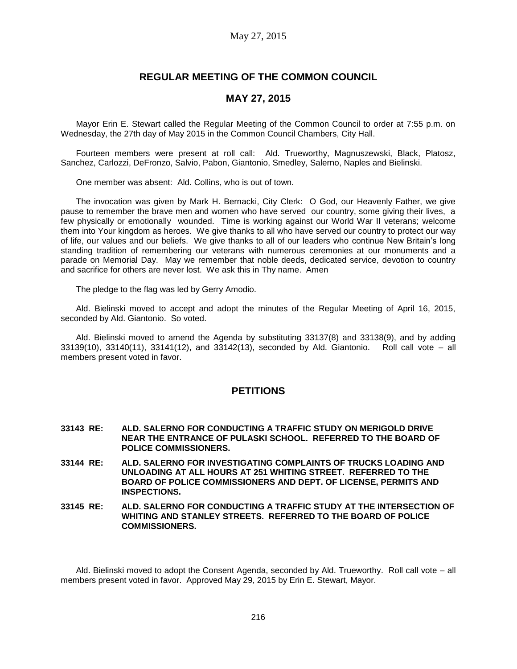## **REGULAR MEETING OF THE COMMON COUNCIL**

## **MAY 27, 2015**

Mayor Erin E. Stewart called the Regular Meeting of the Common Council to order at 7:55 p.m. on Wednesday, the 27th day of May 2015 in the Common Council Chambers, City Hall.

Fourteen members were present at roll call: Ald. Trueworthy, Magnuszewski, Black, Platosz, Sanchez, Carlozzi, DeFronzo, Salvio, Pabon, Giantonio, Smedley, Salerno, Naples and Bielinski.

One member was absent: Ald. Collins, who is out of town.

The invocation was given by Mark H. Bernacki, City Clerk: O God, our Heavenly Father, we give pause to remember the brave men and women who have served our country, some giving their lives, a few physically or emotionally wounded. Time is working against our World War II veterans; welcome them into Your kingdom as heroes. We give thanks to all who have served our country to protect our way of life, our values and our beliefs. We give thanks to all of our leaders who continue New Britain's long standing tradition of remembering our veterans with numerous ceremonies at our monuments and a parade on Memorial Day. May we remember that noble deeds, dedicated service, devotion to country and sacrifice for others are never lost. We ask this in Thy name. Amen

The pledge to the flag was led by Gerry Amodio.

Ald. Bielinski moved to accept and adopt the minutes of the Regular Meeting of April 16, 2015, seconded by Ald. Giantonio. So voted.

Ald. Bielinski moved to amend the Agenda by substituting 33137(8) and 33138(9), and by adding 33139(10), 33140(11), 33141(12), and 33142(13), seconded by Ald. Giantonio. Roll call vote – all members present voted in favor.

## **PETITIONS**

- **33143 RE: ALD. SALERNO FOR CONDUCTING A TRAFFIC STUDY ON MERIGOLD DRIVE NEAR THE ENTRANCE OF PULASKI SCHOOL. REFERRED TO THE BOARD OF POLICE COMMISSIONERS.**
- **33144 RE: ALD. SALERNO FOR INVESTIGATING COMPLAINTS OF TRUCKS LOADING AND UNLOADING AT ALL HOURS AT 251 WHITING STREET. REFERRED TO THE BOARD OF POLICE COMMISSIONERS AND DEPT. OF LICENSE, PERMITS AND INSPECTIONS.**
- **33145 RE: ALD. SALERNO FOR CONDUCTING A TRAFFIC STUDY AT THE INTERSECTION OF WHITING AND STANLEY STREETS. REFERRED TO THE BOARD OF POLICE COMMISSIONERS.**

Ald. Bielinski moved to adopt the Consent Agenda, seconded by Ald. Trueworthy. Roll call vote – all members present voted in favor. Approved May 29, 2015 by Erin E. Stewart, Mayor.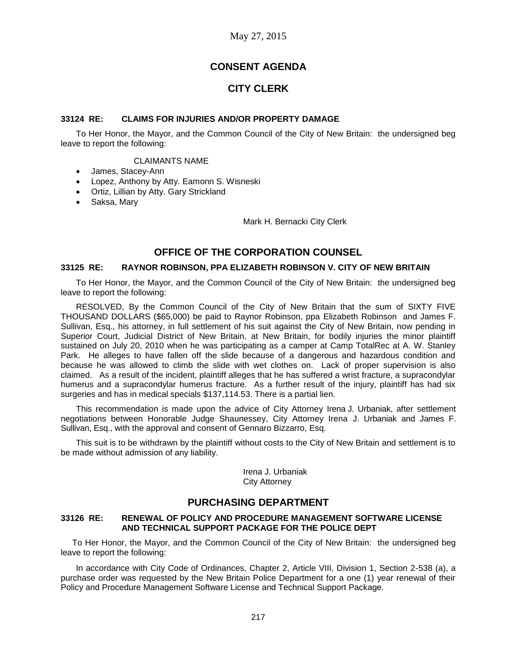# **CONSENT AGENDA**

# **CITY CLERK**

### **33124 RE: CLAIMS FOR INJURIES AND/OR PROPERTY DAMAGE**

To Her Honor, the Mayor, and the Common Council of the City of New Britain: the undersigned beg leave to report the following:

### CLAIMANTS NAME

- James, Stacey-Ann
- Lopez, Anthony by Atty. Eamonn S. Wisneski
- Ortiz, Lillian by Atty. Gary Strickland
- Saksa, Mary

Mark H. Bernacki City Clerk

## **OFFICE OF THE CORPORATION COUNSEL**

### **33125 RE: RAYNOR ROBINSON, PPA ELIZABETH ROBINSON V. CITY OF NEW BRITAIN**

To Her Honor, the Mayor, and the Common Council of the City of New Britain: the undersigned beg leave to report the following:

RESOLVED, By the Common Council of the City of New Britain that the sum of SIXTY FIVE THOUSAND DOLLARS (\$65,000) be paid to Raynor Robinson, ppa Elizabeth Robinson and James F. Sullivan, Esq., his attorney, in full settlement of his suit against the City of New Britain, now pending in Superior Court, Judicial District of New Britain, at New Britain, for bodily injuries the minor plaintiff sustained on July 20, 2010 when he was participating as a camper at Camp TotalRec at A. W. Stanley Park. He alleges to have fallen off the slide because of a dangerous and hazardous condition and because he was allowed to climb the slide with wet clothes on. Lack of proper supervision is also claimed. As a result of the incident, plaintiff alleges that he has suffered a wrist fracture, a supracondylar humerus and a supracondylar humerus fracture. As a further result of the injury, plaintiff has had six surgeries and has in medical specials \$137,114.53. There is a partial lien.

This recommendation is made upon the advice of City Attorney Irena J. Urbaniak, after settlement negotiations between Honorable Judge Shaunessey, City Attorney Irena J. Urbaniak and James F. Sullivan, Esq., with the approval and consent of Gennaro Bizzarro, Esq.

This suit is to be withdrawn by the plaintiff without costs to the City of New Britain and settlement is to be made without admission of any liability.

> Irena J. Urbaniak City Attorney

## **PURCHASING DEPARTMENT**

### **33126 RE: RENEWAL OF POLICY AND PROCEDURE MANAGEMENT SOFTWARE LICENSE AND TECHNICAL SUPPORT PACKAGE FOR THE POLICE DEPT**

To Her Honor, the Mayor, and the Common Council of the City of New Britain: the undersigned beg leave to report the following:

In accordance with City Code of Ordinances, Chapter 2, Article VIII, Division 1, Section 2-538 (a), a purchase order was requested by the New Britain Police Department for a one (1) year renewal of their Policy and Procedure Management Software License and Technical Support Package.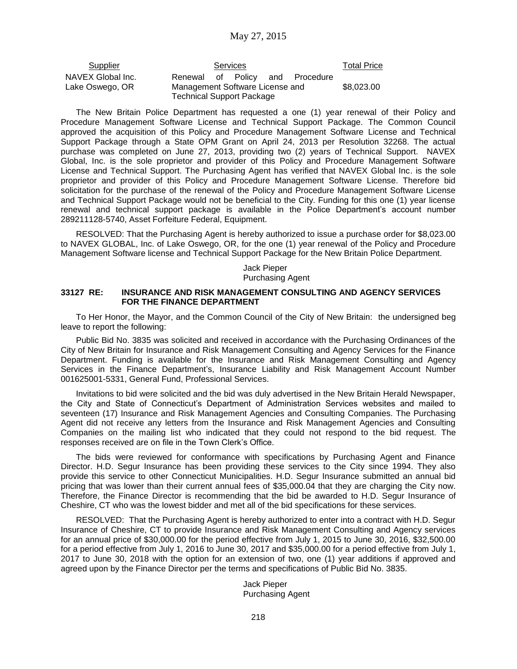| Services |  |  | Total Price                      |                                                                    |
|----------|--|--|----------------------------------|--------------------------------------------------------------------|
|          |  |  |                                  | \$8,023.00                                                         |
|          |  |  | <b>Technical Support Package</b> | Renewal of Policy and Procedure<br>Management Software License and |

The New Britain Police Department has requested a one (1) year renewal of their Policy and Procedure Management Software License and Technical Support Package. The Common Council approved the acquisition of this Policy and Procedure Management Software License and Technical Support Package through a State OPM Grant on April 24, 2013 per Resolution 32268. The actual purchase was completed on June 27, 2013, providing two (2) years of Technical Support. NAVEX Global, Inc. is the sole proprietor and provider of this Policy and Procedure Management Software License and Technical Support. The Purchasing Agent has verified that NAVEX Global Inc. is the sole proprietor and provider of this Policy and Procedure Management Software License. Therefore bid solicitation for the purchase of the renewal of the Policy and Procedure Management Software License and Technical Support Package would not be beneficial to the City. Funding for this one (1) year license renewal and technical support package is available in the Police Department's account number 289211128-5740, Asset Forfeiture Federal, Equipment.

RESOLVED: That the Purchasing Agent is hereby authorized to issue a purchase order for \$8,023.00 to NAVEX GLOBAL, Inc. of Lake Oswego, OR, for the one (1) year renewal of the Policy and Procedure Management Software license and Technical Support Package for the New Britain Police Department.

> Jack Pieper Purchasing Agent

### **33127 RE: INSURANCE AND RISK MANAGEMENT CONSULTING AND AGENCY SERVICES FOR THE FINANCE DEPARTMENT**

To Her Honor, the Mayor, and the Common Council of the City of New Britain: the undersigned beg leave to report the following:

Public Bid No. 3835 was solicited and received in accordance with the Purchasing Ordinances of the City of New Britain for Insurance and Risk Management Consulting and Agency Services for the Finance Department. Funding is available for the Insurance and Risk Management Consulting and Agency Services in the Finance Department's, Insurance Liability and Risk Management Account Number 001625001-5331, General Fund, Professional Services.

Invitations to bid were solicited and the bid was duly advertised in the New Britain Herald Newspaper, the City and State of Connecticut's Department of Administration Services websites and mailed to seventeen (17) Insurance and Risk Management Agencies and Consulting Companies. The Purchasing Agent did not receive any letters from the Insurance and Risk Management Agencies and Consulting Companies on the mailing list who indicated that they could not respond to the bid request. The responses received are on file in the Town Clerk's Office.

The bids were reviewed for conformance with specifications by Purchasing Agent and Finance Director. H.D. Segur Insurance has been providing these services to the City since 1994. They also provide this service to other Connecticut Municipalities. H.D. Segur Insurance submitted an annual bid pricing that was lower than their current annual fees of \$35,000.04 that they are charging the City now. Therefore, the Finance Director is recommending that the bid be awarded to H.D. Segur Insurance of Cheshire, CT who was the lowest bidder and met all of the bid specifications for these services.

RESOLVED: That the Purchasing Agent is hereby authorized to enter into a contract with H.D. Segur Insurance of Cheshire, CT to provide Insurance and Risk Management Consulting and Agency services for an annual price of \$30,000.00 for the period effective from July 1, 2015 to June 30, 2016, \$32,500.00 for a period effective from July 1, 2016 to June 30, 2017 and \$35,000.00 for a period effective from July 1, 2017 to June 30, 2018 with the option for an extension of two, one (1) year additions if approved and agreed upon by the Finance Director per the terms and specifications of Public Bid No. 3835.

> Jack Pieper Purchasing Agent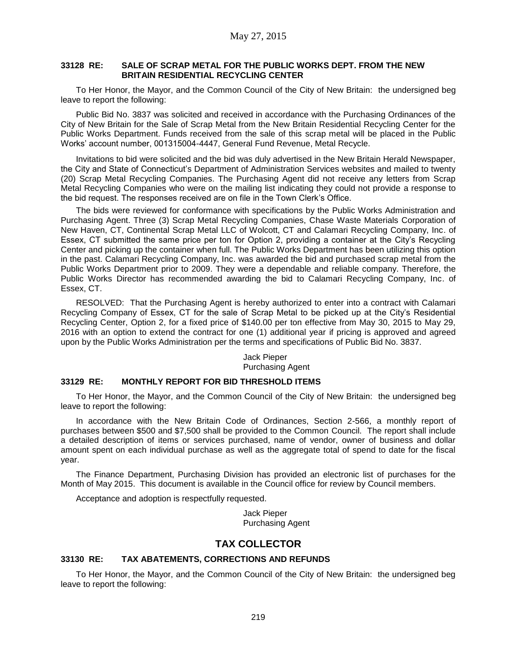## **33128 RE: SALE OF SCRAP METAL FOR THE PUBLIC WORKS DEPT. FROM THE NEW BRITAIN RESIDENTIAL RECYCLING CENTER**

To Her Honor, the Mayor, and the Common Council of the City of New Britain: the undersigned beg leave to report the following:

Public Bid No. 3837 was solicited and received in accordance with the Purchasing Ordinances of the City of New Britain for the Sale of Scrap Metal from the New Britain Residential Recycling Center for the Public Works Department. Funds received from the sale of this scrap metal will be placed in the Public Works' account number, 001315004-4447, General Fund Revenue, Metal Recycle.

Invitations to bid were solicited and the bid was duly advertised in the New Britain Herald Newspaper, the City and State of Connecticut's Department of Administration Services websites and mailed to twenty (20) Scrap Metal Recycling Companies. The Purchasing Agent did not receive any letters from Scrap Metal Recycling Companies who were on the mailing list indicating they could not provide a response to the bid request. The responses received are on file in the Town Clerk's Office.

The bids were reviewed for conformance with specifications by the Public Works Administration and Purchasing Agent. Three (3) Scrap Metal Recycling Companies, Chase Waste Materials Corporation of New Haven, CT, Continental Scrap Metal LLC of Wolcott, CT and Calamari Recycling Company, Inc. of Essex, CT submitted the same price per ton for Option 2, providing a container at the City's Recycling Center and picking up the container when full. The Public Works Department has been utilizing this option in the past. Calamari Recycling Company, Inc. was awarded the bid and purchased scrap metal from the Public Works Department prior to 2009. They were a dependable and reliable company. Therefore, the Public Works Director has recommended awarding the bid to Calamari Recycling Company, Inc. of Essex, CT.

RESOLVED: That the Purchasing Agent is hereby authorized to enter into a contract with Calamari Recycling Company of Essex, CT for the sale of Scrap Metal to be picked up at the City's Residential Recycling Center, Option 2, for a fixed price of \$140.00 per ton effective from May 30, 2015 to May 29, 2016 with an option to extend the contract for one (1) additional year if pricing is approved and agreed upon by the Public Works Administration per the terms and specifications of Public Bid No. 3837.

### Jack Pieper Purchasing Agent

### **33129 RE: MONTHLY REPORT FOR BID THRESHOLD ITEMS**

To Her Honor, the Mayor, and the Common Council of the City of New Britain: the undersigned beg leave to report the following:

In accordance with the New Britain Code of Ordinances, Section 2-566, a monthly report of purchases between \$500 and \$7,500 shall be provided to the Common Council. The report shall include a detailed description of items or services purchased, name of vendor, owner of business and dollar amount spent on each individual purchase as well as the aggregate total of spend to date for the fiscal year.

The Finance Department, Purchasing Division has provided an electronic list of purchases for the Month of May 2015. This document is available in the Council office for review by Council members.

Acceptance and adoption is respectfully requested.

Jack Pieper Purchasing Agent

## **TAX COLLECTOR**

### **33130 RE: TAX ABATEMENTS, CORRECTIONS AND REFUNDS**

To Her Honor, the Mayor, and the Common Council of the City of New Britain: the undersigned beg leave to report the following: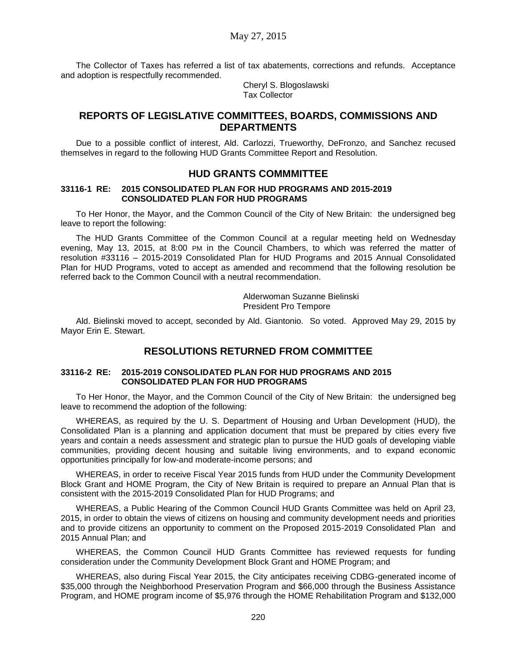The Collector of Taxes has referred a list of tax abatements, corrections and refunds. Acceptance and adoption is respectfully recommended.

Cheryl S. Blogoslawski Tax Collector

## **REPORTS OF LEGISLATIVE COMMITTEES, BOARDS, COMMISSIONS AND DEPARTMENTS**

Due to a possible conflict of interest, Ald. Carlozzi, Trueworthy, DeFronzo, and Sanchez recused themselves in regard to the following HUD Grants Committee Report and Resolution.

## **HUD GRANTS COMMMITTEE**

### **33116-1 RE: 2015 CONSOLIDATED PLAN FOR HUD PROGRAMS AND 2015-2019 CONSOLIDATED PLAN FOR HUD PROGRAMS**

To Her Honor, the Mayor, and the Common Council of the City of New Britain: the undersigned beg leave to report the following:

The HUD Grants Committee of the Common Council at a regular meeting held on Wednesday evening, May 13, 2015, at 8:00 PM in the Council Chambers, to which was referred the matter of resolution #33116 – 2015-2019 Consolidated Plan for HUD Programs and 2015 Annual Consolidated Plan for HUD Programs, voted to accept as amended and recommend that the following resolution be referred back to the Common Council with a neutral recommendation.

> Alderwoman Suzanne Bielinski President Pro Tempore

Ald. Bielinski moved to accept, seconded by Ald. Giantonio. So voted. Approved May 29, 2015 by Mayor Erin E. Stewart.

## **RESOLUTIONS RETURNED FROM COMMITTEE**

### **33116-2 RE: 2015-2019 CONSOLIDATED PLAN FOR HUD PROGRAMS AND 2015 CONSOLIDATED PLAN FOR HUD PROGRAMS**

To Her Honor, the Mayor, and the Common Council of the City of New Britain: the undersigned beg leave to recommend the adoption of the following:

WHEREAS, as required by the U. S. Department of Housing and Urban Development (HUD), the Consolidated Plan is a planning and application document that must be prepared by cities every five years and contain a needs assessment and strategic plan to pursue the HUD goals of developing viable communities, providing decent housing and suitable living environments, and to expand economic opportunities principally for low-and moderate-income persons; and

WHEREAS, in order to receive Fiscal Year 2015 funds from HUD under the Community Development Block Grant and HOME Program, the City of New Britain is required to prepare an Annual Plan that is consistent with the 2015-2019 Consolidated Plan for HUD Programs; and

WHEREAS, a Public Hearing of the Common Council HUD Grants Committee was held on April 23, 2015, in order to obtain the views of citizens on housing and community development needs and priorities and to provide citizens an opportunity to comment on the Proposed 2015-2019 Consolidated Plan and 2015 Annual Plan; and

WHEREAS, the Common Council HUD Grants Committee has reviewed requests for funding consideration under the Community Development Block Grant and HOME Program; and

WHEREAS, also during Fiscal Year 2015, the City anticipates receiving CDBG-generated income of \$35,000 through the Neighborhood Preservation Program and \$66,000 through the Business Assistance Program, and HOME program income of \$5,976 through the HOME Rehabilitation Program and \$132,000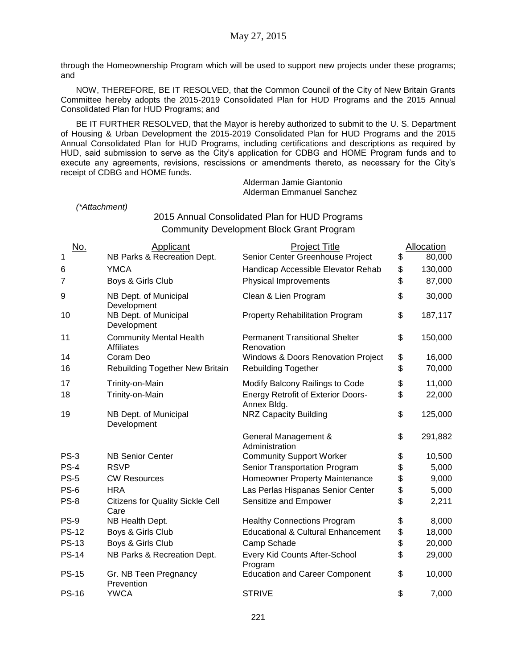through the Homeownership Program which will be used to support new projects under these programs; and

NOW, THEREFORE, BE IT RESOLVED, that the Common Council of the City of New Britain Grants Committee hereby adopts the 2015-2019 Consolidated Plan for HUD Programs and the 2015 Annual Consolidated Plan for HUD Programs; and

BE IT FURTHER RESOLVED, that the Mayor is hereby authorized to submit to the U. S. Department of Housing & Urban Development the 2015-2019 Consolidated Plan for HUD Programs and the 2015 Annual Consolidated Plan for HUD Programs, including certifications and descriptions as required by HUD, said submission to serve as the City's application for CDBG and HOME Program funds and to execute any agreements, revisions, rescissions or amendments thereto, as necessary for the City's receipt of CDBG and HOME funds.

Alderman Jamie Giantonio Alderman Emmanuel Sanchez

*(\*Attachment)*

2015 Annual Consolidated Plan for HUD Programs Community Development Block Grant Program

| <u>No.</u>   | Applicant                                           | <b>Project Title</b>                                     | Allocation    |
|--------------|-----------------------------------------------------|----------------------------------------------------------|---------------|
| 1            | NB Parks & Recreation Dept.                         | Senior Center Greenhouse Project                         | \$<br>80,000  |
| 6            | <b>YMCA</b>                                         | Handicap Accessible Elevator Rehab                       | \$<br>130,000 |
| 7            | Boys & Girls Club                                   | Physical Improvements                                    | \$<br>87,000  |
| 9            | NB Dept. of Municipal<br>Development                | Clean & Lien Program                                     | \$<br>30,000  |
| 10           | NB Dept. of Municipal<br>Development                | <b>Property Rehabilitation Program</b>                   | \$<br>187,117 |
| 11           | <b>Community Mental Health</b><br><b>Affiliates</b> | <b>Permanent Transitional Shelter</b><br>Renovation      | \$<br>150,000 |
| 14           | Coram Deo                                           | Windows & Doors Renovation Project                       | \$<br>16,000  |
| 16           | Rebuilding Together New Britain                     | <b>Rebuilding Together</b>                               | \$<br>70,000  |
| 17           | Trinity-on-Main                                     | Modify Balcony Railings to Code                          | \$<br>11,000  |
| 18           | Trinity-on-Main                                     | <b>Energy Retrofit of Exterior Doors-</b><br>Annex Bldg. | \$<br>22,000  |
| 19           | NB Dept. of Municipal<br>Development                | <b>NRZ Capacity Building</b>                             | \$<br>125,000 |
|              |                                                     | General Management &<br>Administration                   | \$<br>291,882 |
| $PS-3$       | <b>NB Senior Center</b>                             | <b>Community Support Worker</b>                          | \$<br>10,500  |
| $PS-4$       | <b>RSVP</b>                                         | Senior Transportation Program                            | \$<br>5,000   |
| <b>PS-5</b>  | <b>CW Resources</b>                                 | Homeowner Property Maintenance                           | \$<br>9,000   |
| <b>PS-6</b>  | <b>HRA</b>                                          | Las Perlas Hispanas Senior Center                        | \$<br>5,000   |
| <b>PS-8</b>  | <b>Citizens for Quality Sickle Cell</b><br>Care     | Sensitize and Empower                                    | \$<br>2,211   |
| <b>PS-9</b>  | NB Health Dept.                                     | <b>Healthy Connections Program</b>                       | \$<br>8,000   |
| <b>PS-12</b> | Boys & Girls Club                                   | <b>Educational &amp; Cultural Enhancement</b>            | \$<br>18,000  |
| <b>PS-13</b> | Boys & Girls Club                                   | Camp Schade                                              | \$<br>20,000  |
| <b>PS-14</b> | NB Parks & Recreation Dept.                         | Every Kid Counts After-School<br>Program                 | \$<br>29,000  |
| <b>PS-15</b> | Gr. NB Teen Pregnancy<br>Prevention                 | <b>Education and Career Component</b>                    | \$<br>10,000  |
| <b>PS-16</b> | <b>YWCA</b>                                         | <b>STRIVE</b>                                            | \$<br>7,000   |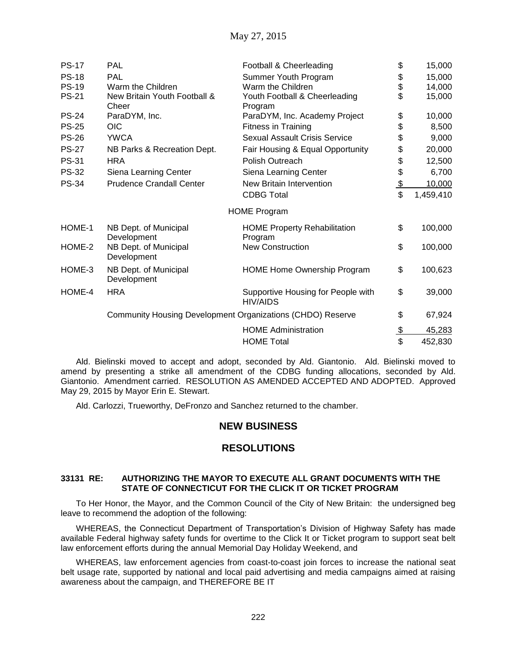| <b>PS-17</b> | <b>PAL</b>                            | Football & Cheerleading                                    | \$            | 15,000    |
|--------------|---------------------------------------|------------------------------------------------------------|---------------|-----------|
| <b>PS-18</b> | PAL                                   | Summer Youth Program                                       |               | 15,000    |
| <b>PS-19</b> | Warm the Children                     | Warm the Children                                          | \$<br>\$      | 14,000    |
| <b>PS-21</b> | New Britain Youth Football &<br>Cheer | Youth Football & Cheerleading<br>Program                   | \$            | 15,000    |
| <b>PS-24</b> | ParaDYM, Inc.                         | ParaDYM, Inc. Academy Project                              | \$            | 10,000    |
| <b>PS-25</b> | <b>OIC</b>                            | Fitness in Training                                        | \$            | 8,500     |
| <b>PS-26</b> | <b>YWCA</b>                           | <b>Sexual Assault Crisis Service</b>                       | \$            | 9,000     |
| <b>PS-27</b> | NB Parks & Recreation Dept.           | Fair Housing & Equal Opportunity                           | \$            | 20,000    |
| <b>PS-31</b> | <b>HRA</b>                            | Polish Outreach                                            | \$            | 12,500    |
| <b>PS-32</b> | Siena Learning Center                 | Siena Learning Center                                      | \$            | 6,700     |
| <b>PS-34</b> | <b>Prudence Crandall Center</b>       | New Britain Intervention                                   | $\frac{1}{2}$ | 10,000    |
|              |                                       | <b>CDBG Total</b>                                          | \$            | 1,459,410 |
|              |                                       | <b>HOME Program</b>                                        |               |           |
| HOME-1       | NB Dept. of Municipal<br>Development  | <b>HOME Property Rehabilitation</b><br>Program             | \$            | 100,000   |
| HOME-2       | NB Dept. of Municipal<br>Development  | <b>New Construction</b>                                    | \$            | 100,000   |
| HOME-3       | NB Dept. of Municipal<br>Development  | <b>HOME Home Ownership Program</b>                         | \$            | 100,623   |
| HOME-4       | <b>HRA</b>                            | Supportive Housing for People with<br><b>HIV/AIDS</b>      | \$            | 39,000    |
|              |                                       | Community Housing Development Organizations (CHDO) Reserve | \$            | 67,924    |
|              |                                       | <b>HOME Administration</b>                                 | $\frac{1}{2}$ | 45,283    |
|              |                                       | <b>HOME Total</b>                                          | \$            | 452,830   |

Ald. Bielinski moved to accept and adopt, seconded by Ald. Giantonio. Ald. Bielinski moved to amend by presenting a strike all amendment of the CDBG funding allocations, seconded by Ald. Giantonio. Amendment carried. RESOLUTION AS AMENDED ACCEPTED AND ADOPTED. Approved May 29, 2015 by Mayor Erin E. Stewart.

Ald. Carlozzi, Trueworthy, DeFronzo and Sanchez returned to the chamber.

## **NEW BUSINESS**

## **RESOLUTIONS**

## **33131 RE: AUTHORIZING THE MAYOR TO EXECUTE ALL GRANT DOCUMENTS WITH THE STATE OF CONNECTICUT FOR THE CLICK IT OR TICKET PROGRAM**

To Her Honor, the Mayor, and the Common Council of the City of New Britain: the undersigned beg leave to recommend the adoption of the following:

WHEREAS, the Connecticut Department of Transportation's Division of Highway Safety has made available Federal highway safety funds for overtime to the Click It or Ticket program to support seat belt law enforcement efforts during the annual Memorial Day Holiday Weekend, and

WHEREAS, law enforcement agencies from coast-to-coast join forces to increase the national seat belt usage rate, supported by national and local paid advertising and media campaigns aimed at raising awareness about the campaign, and THEREFORE BE IT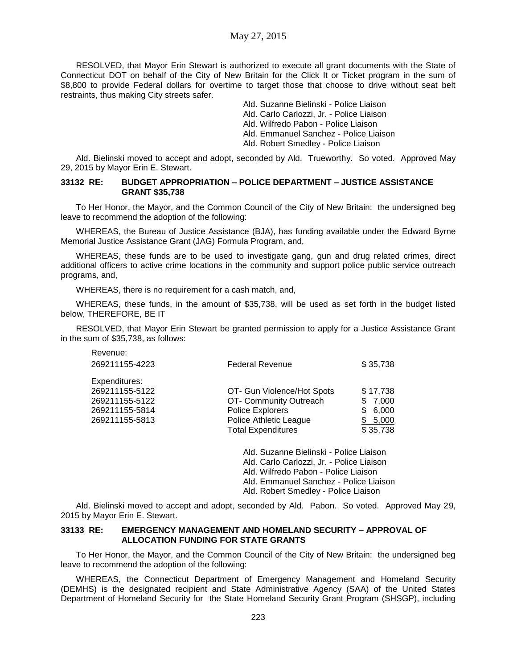## May 27, 2015

RESOLVED, that Mayor Erin Stewart is authorized to execute all grant documents with the State of Connecticut DOT on behalf of the City of New Britain for the Click It or Ticket program in the sum of \$8,800 to provide Federal dollars for overtime to target those that choose to drive without seat belt restraints, thus making City streets safer.

> Ald. Suzanne Bielinski - Police Liaison Ald. Carlo Carlozzi, Jr. - Police Liaison Ald. Wilfredo Pabon - Police Liaison Ald. Emmanuel Sanchez - Police Liaison Ald. Robert Smedley - Police Liaison

Ald. Bielinski moved to accept and adopt, seconded by Ald. Trueworthy. So voted. Approved May 29, 2015 by Mayor Erin E. Stewart.

### **33132 RE: BUDGET APPROPRIATION – POLICE DEPARTMENT – JUSTICE ASSISTANCE GRANT \$35,738**

To Her Honor, the Mayor, and the Common Council of the City of New Britain: the undersigned beg leave to recommend the adoption of the following:

WHEREAS, the Bureau of Justice Assistance (BJA), has funding available under the Edward Byrne Memorial Justice Assistance Grant (JAG) Formula Program, and,

WHEREAS, these funds are to be used to investigate gang, gun and drug related crimes, direct additional officers to active crime locations in the community and support police public service outreach programs, and,

WHEREAS, there is no requirement for a cash match, and,

WHEREAS, these funds, in the amount of \$35,738, will be used as set forth in the budget listed below, THEREFORE, BE IT

RESOLVED, that Mayor Erin Stewart be granted permission to apply for a Justice Assistance Grant in the sum of \$35,738, as follows:

| <b>Federal Revenue</b>     | \$35,738   |
|----------------------------|------------|
|                            |            |
| OT- Gun Violence/Hot Spots | \$17,738   |
| OT- Community Outreach     | \$7,000    |
| Police Explorers           | 6,000<br>S |
| Police Athletic League     | 5,000      |
| <b>Total Expenditures</b>  | \$35,738   |
|                            |            |

Ald. Suzanne Bielinski - Police Liaison Ald. Carlo Carlozzi, Jr. - Police Liaison Ald. Wilfredo Pabon - Police Liaison Ald. Emmanuel Sanchez - Police Liaison Ald. Robert Smedley - Police Liaison

Ald. Bielinski moved to accept and adopt, seconded by Ald. Pabon. So voted. Approved May 29, 2015 by Mayor Erin E. Stewart.

### **33133 RE: EMERGENCY MANAGEMENT AND HOMELAND SECURITY – APPROVAL OF ALLOCATION FUNDING FOR STATE GRANTS**

To Her Honor, the Mayor, and the Common Council of the City of New Britain: the undersigned beg leave to recommend the adoption of the following:

WHEREAS, the Connecticut Department of Emergency Management and Homeland Security (DEMHS) is the designated recipient and State Administrative Agency (SAA) of the United States Department of Homeland Security for the State Homeland Security Grant Program (SHSGP), including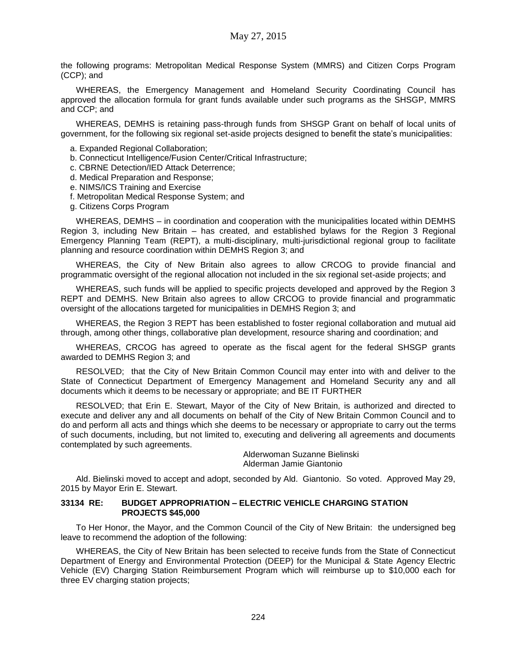the following programs: Metropolitan Medical Response System (MMRS) and Citizen Corps Program (CCP); and

WHEREAS, the Emergency Management and Homeland Security Coordinating Council has approved the allocation formula for grant funds available under such programs as the SHSGP, MMRS and CCP; and

WHEREAS, DEMHS is retaining pass-through funds from SHSGP Grant on behalf of local units of government, for the following six regional set-aside projects designed to benefit the state's municipalities:

- a. Expanded Regional Collaboration;
- b. Connecticut Intelligence/Fusion Center/Critical Infrastructure;
- c. CBRNE Detection/IED Attack Deterrence;
- d. Medical Preparation and Response;
- e. NIMS/ICS Training and Exercise
- f. Metropolitan Medical Response System; and
- g. Citizens Corps Program

WHEREAS, DEMHS – in coordination and cooperation with the municipalities located within DEMHS Region 3, including New Britain – has created, and established bylaws for the Region 3 Regional Emergency Planning Team (REPT), a multi-disciplinary, multi-jurisdictional regional group to facilitate planning and resource coordination within DEMHS Region 3; and

WHEREAS, the City of New Britain also agrees to allow CRCOG to provide financial and programmatic oversight of the regional allocation not included in the six regional set-aside projects; and

WHEREAS, such funds will be applied to specific projects developed and approved by the Region 3 REPT and DEMHS. New Britain also agrees to allow CRCOG to provide financial and programmatic oversight of the allocations targeted for municipalities in DEMHS Region 3; and

WHEREAS, the Region 3 REPT has been established to foster regional collaboration and mutual aid through, among other things, collaborative plan development, resource sharing and coordination; and

WHEREAS, CRCOG has agreed to operate as the fiscal agent for the federal SHSGP grants awarded to DEMHS Region 3; and

RESOLVED; that the City of New Britain Common Council may enter into with and deliver to the State of Connecticut Department of Emergency Management and Homeland Security any and all documents which it deems to be necessary or appropriate; and BE IT FURTHER

RESOLVED; that Erin E. Stewart, Mayor of the City of New Britain, is authorized and directed to execute and deliver any and all documents on behalf of the City of New Britain Common Council and to do and perform all acts and things which she deems to be necessary or appropriate to carry out the terms of such documents, including, but not limited to, executing and delivering all agreements and documents contemplated by such agreements.

> Alderwoman Suzanne Bielinski Alderman Jamie Giantonio

Ald. Bielinski moved to accept and adopt, seconded by Ald. Giantonio. So voted. Approved May 29, 2015 by Mayor Erin E. Stewart.

### **33134 RE: BUDGET APPROPRIATION – ELECTRIC VEHICLE CHARGING STATION PROJECTS \$45,000**

To Her Honor, the Mayor, and the Common Council of the City of New Britain: the undersigned beg leave to recommend the adoption of the following:

WHEREAS, the City of New Britain has been selected to receive funds from the State of Connecticut Department of Energy and Environmental Protection (DEEP) for the Municipal & State Agency Electric Vehicle (EV) Charging Station Reimbursement Program which will reimburse up to \$10,000 each for three EV charging station projects;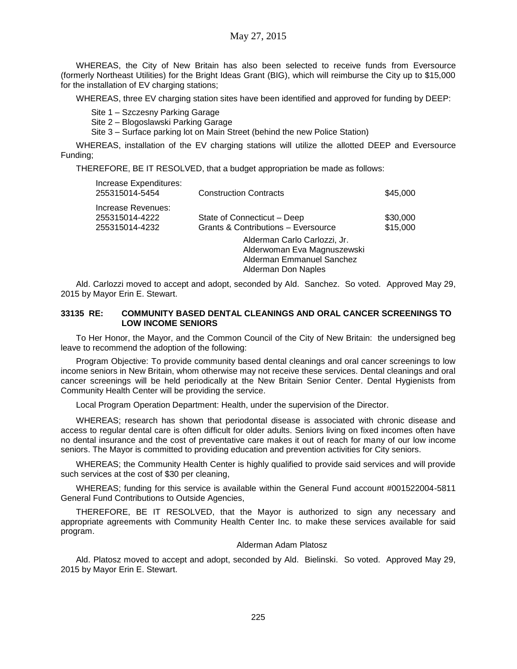WHEREAS, the City of New Britain has also been selected to receive funds from Eversource (formerly Northeast Utilities) for the Bright Ideas Grant (BIG), which will reimburse the City up to \$15,000 for the installation of EV charging stations;

WHEREAS, three EV charging station sites have been identified and approved for funding by DEEP:

Site 1 – Szczesny Parking Garage

Site 2 – Blogoslawski Parking Garage

Site 3 – Surface parking lot on Main Street (behind the new Police Station)

WHEREAS, installation of the EV charging stations will utilize the allotted DEEP and Eversource Funding;

THEREFORE, BE IT RESOLVED, that a budget appropriation be made as follows:

| Increase Expenditures:<br>255315014-5454               | <b>Construction Contracts</b>                                                                                   | \$45,000             |
|--------------------------------------------------------|-----------------------------------------------------------------------------------------------------------------|----------------------|
| Increase Revenues:<br>255315014-4222<br>255315014-4232 | State of Connecticut - Deep<br><b>Grants &amp; Contributions - Eversource</b>                                   | \$30,000<br>\$15,000 |
|                                                        | Alderman Carlo Carlozzi, Jr.<br>Alderwoman Eva Magnuszewski<br>Alderman Emmanuel Sanchez<br>Alderman Don Naples |                      |

Ald. Carlozzi moved to accept and adopt, seconded by Ald. Sanchez. So voted. Approved May 29, 2015 by Mayor Erin E. Stewart.

## **33135 RE: COMMUNITY BASED DENTAL CLEANINGS AND ORAL CANCER SCREENINGS TO LOW INCOME SENIORS**

To Her Honor, the Mayor, and the Common Council of the City of New Britain: the undersigned beg leave to recommend the adoption of the following:

Program Objective: To provide community based dental cleanings and oral cancer screenings to low income seniors in New Britain, whom otherwise may not receive these services. Dental cleanings and oral cancer screenings will be held periodically at the New Britain Senior Center. Dental Hygienists from Community Health Center will be providing the service.

Local Program Operation Department: Health, under the supervision of the Director.

WHEREAS; research has shown that periodontal disease is associated with chronic disease and access to regular dental care is often difficult for older adults. Seniors living on fixed incomes often have no dental insurance and the cost of preventative care makes it out of reach for many of our low income seniors. The Mayor is committed to providing education and prevention activities for City seniors.

WHEREAS; the Community Health Center is highly qualified to provide said services and will provide such services at the cost of \$30 per cleaning,

WHEREAS; funding for this service is available within the General Fund account #001522004-5811 General Fund Contributions to Outside Agencies,

THEREFORE, BE IT RESOLVED, that the Mayor is authorized to sign any necessary and appropriate agreements with Community Health Center Inc. to make these services available for said program.

#### Alderman Adam Platosz

Ald. Platosz moved to accept and adopt, seconded by Ald. Bielinski. So voted. Approved May 29, 2015 by Mayor Erin E. Stewart.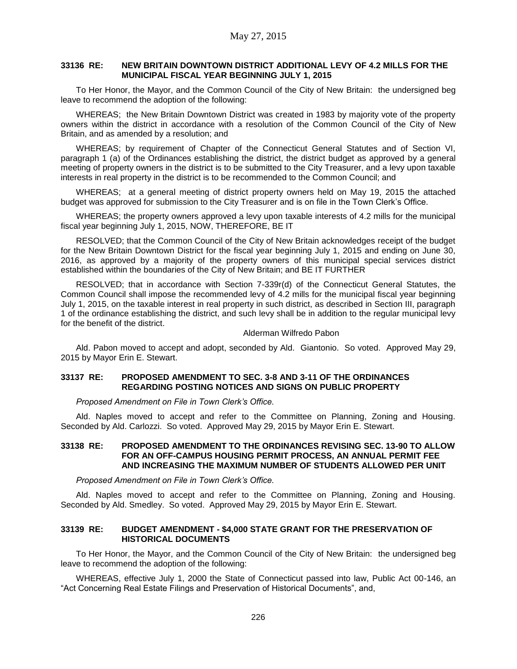### **33136 RE: NEW BRITAIN DOWNTOWN DISTRICT ADDITIONAL LEVY OF 4.2 MILLS FOR THE MUNICIPAL FISCAL YEAR BEGINNING JULY 1, 2015**

To Her Honor, the Mayor, and the Common Council of the City of New Britain: the undersigned beg leave to recommend the adoption of the following:

WHEREAS; the New Britain Downtown District was created in 1983 by majority vote of the property owners within the district in accordance with a resolution of the Common Council of the City of New Britain, and as amended by a resolution; and

WHEREAS; by requirement of Chapter of the Connecticut General Statutes and of Section VI, paragraph 1 (a) of the Ordinances establishing the district, the district budget as approved by a general meeting of property owners in the district is to be submitted to the City Treasurer, and a levy upon taxable interests in real property in the district is to be recommended to the Common Council; and

WHEREAS; at a general meeting of district property owners held on May 19, 2015 the attached budget was approved for submission to the City Treasurer and is on file in the Town Clerk's Office.

WHEREAS; the property owners approved a levy upon taxable interests of 4.2 mills for the municipal fiscal year beginning July 1, 2015, NOW, THEREFORE, BE IT

RESOLVED; that the Common Council of the City of New Britain acknowledges receipt of the budget for the New Britain Downtown District for the fiscal year beginning July 1, 2015 and ending on June 30, 2016, as approved by a majority of the property owners of this municipal special services district established within the boundaries of the City of New Britain; and BE IT FURTHER

RESOLVED; that in accordance with Section 7-339r(d) of the Connecticut General Statutes, the Common Council shall impose the recommended levy of 4.2 mills for the municipal fiscal year beginning July 1, 2015, on the taxable interest in real property in such district, as described in Section III, paragraph 1 of the ordinance establishing the district, and such levy shall be in addition to the regular municipal levy for the benefit of the district.

#### Alderman Wilfredo Pabon

Ald. Pabon moved to accept and adopt, seconded by Ald. Giantonio. So voted. Approved May 29, 2015 by Mayor Erin E. Stewart.

### **33137 RE: PROPOSED AMENDMENT TO SEC. 3-8 AND 3-11 OF THE ORDINANCES REGARDING POSTING NOTICES AND SIGNS ON PUBLIC PROPERTY**

*Proposed Amendment on File in Town Clerk's Office.*

Ald. Naples moved to accept and refer to the Committee on Planning, Zoning and Housing. Seconded by Ald. Carlozzi. So voted. Approved May 29, 2015 by Mayor Erin E. Stewart.

### **33138 RE: PROPOSED AMENDMENT TO THE ORDINANCES REVISING SEC. 13-90 TO ALLOW FOR AN OFF-CAMPUS HOUSING PERMIT PROCESS, AN ANNUAL PERMIT FEE AND INCREASING THE MAXIMUM NUMBER OF STUDENTS ALLOWED PER UNIT**

*Proposed Amendment on File in Town Clerk's Office.*

Ald. Naples moved to accept and refer to the Committee on Planning, Zoning and Housing. Seconded by Ald. Smedley. So voted. Approved May 29, 2015 by Mayor Erin E. Stewart.

### **33139 RE: BUDGET AMENDMENT - \$4,000 STATE GRANT FOR THE PRESERVATION OF HISTORICAL DOCUMENTS**

To Her Honor, the Mayor, and the Common Council of the City of New Britain: the undersigned beg leave to recommend the adoption of the following:

WHEREAS, effective July 1, 2000 the State of Connecticut passed into law, Public Act 00-146, an "Act Concerning Real Estate Filings and Preservation of Historical Documents", and,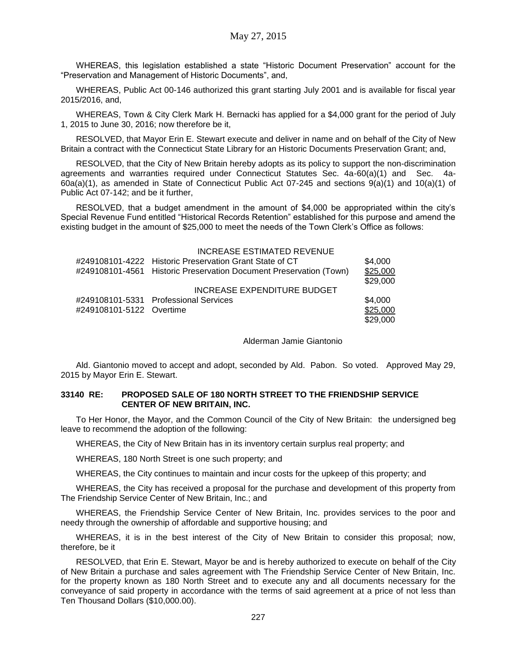WHEREAS, this legislation established a state "Historic Document Preservation" account for the "Preservation and Management of Historic Documents", and,

WHEREAS, Public Act 00-146 authorized this grant starting July 2001 and is available for fiscal year 2015/2016, and,

WHEREAS, Town & City Clerk Mark H. Bernacki has applied for a \$4,000 grant for the period of July 1, 2015 to June 30, 2016; now therefore be it,

RESOLVED, that Mayor Erin E. Stewart execute and deliver in name and on behalf of the City of New Britain a contract with the Connecticut State Library for an Historic Documents Preservation Grant; and,

RESOLVED, that the City of New Britain hereby adopts as its policy to support the non-discrimination agreements and warranties required under Connecticut Statutes Sec. 4a-60(a)(1) and Sec. 4a-60a(a)(1), as amended in State of Connecticut Public Act 07-245 and sections 9(a)(1) and 10(a)(1) of Public Act 07-142; and be it further,

RESOLVED, that a budget amendment in the amount of \$4,000 be appropriated within the city's Special Revenue Fund entitled "Historical Records Retention" established for this purpose and amend the existing budget in the amount of \$25,000 to meet the needs of the Town Clerk's Office as follows:

|                          | INCREASE ESTIMATED REVENUE                                         |                      |
|--------------------------|--------------------------------------------------------------------|----------------------|
|                          | #249108101-4222 Historic Preservation Grant State of CT            | \$4,000              |
|                          | #249108101-4561 Historic Preservation Document Preservation (Town) | \$25,000<br>\$29,000 |
|                          | INCREASE EXPENDITURE BUDGET                                        |                      |
|                          | #249108101-5331 Professional Services                              | \$4,000              |
| #249108101-5122 Overtime |                                                                    | \$25,000             |
|                          |                                                                    | \$29,000             |

Alderman Jamie Giantonio

Ald. Giantonio moved to accept and adopt, seconded by Ald. Pabon. So voted. Approved May 29, 2015 by Mayor Erin E. Stewart.

### **33140 RE: PROPOSED SALE OF 180 NORTH STREET TO THE FRIENDSHIP SERVICE CENTER OF NEW BRITAIN, INC.**

To Her Honor, the Mayor, and the Common Council of the City of New Britain: the undersigned beg leave to recommend the adoption of the following:

WHEREAS, the City of New Britain has in its inventory certain surplus real property; and

WHEREAS, 180 North Street is one such property; and

WHEREAS, the City continues to maintain and incur costs for the upkeep of this property; and

WHEREAS, the City has received a proposal for the purchase and development of this property from The Friendship Service Center of New Britain, Inc.; and

WHEREAS, the Friendship Service Center of New Britain, Inc. provides services to the poor and needy through the ownership of affordable and supportive housing; and

WHEREAS, it is in the best interest of the City of New Britain to consider this proposal; now, therefore, be it

RESOLVED, that Erin E. Stewart, Mayor be and is hereby authorized to execute on behalf of the City of New Britain a purchase and sales agreement with The Friendship Service Center of New Britain, Inc. for the property known as 180 North Street and to execute any and all documents necessary for the conveyance of said property in accordance with the terms of said agreement at a price of not less than Ten Thousand Dollars (\$10,000.00).